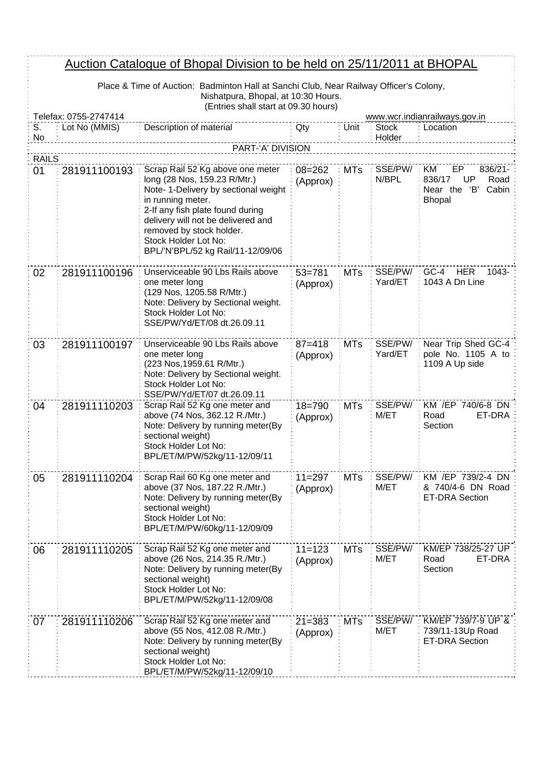## Auction Catalogue of Bhopal Division to be held on 25/11/2011 at BHOPAL

Place & Time of Auction: Badminton Hall at Sanchi Club, Near Railway Officer's Colony, Nishatpura, Bhopal, at 10:30 Hours. (Entries shall start at 09.30 hours)

 $\frac{1}{2}$ 

| Telefax: 0755-2747414 |               |                                                                                                                                                                                                                                                                                                  |                        |            | www.wcr.indianrailways.gov.in |                                                                                          |  |
|-----------------------|---------------|--------------------------------------------------------------------------------------------------------------------------------------------------------------------------------------------------------------------------------------------------------------------------------------------------|------------------------|------------|-------------------------------|------------------------------------------------------------------------------------------|--|
| S.                    | Lot No (MMIS) | Description of material                                                                                                                                                                                                                                                                          | Qty                    | Unit       | <b>Stock</b>                  | Location                                                                                 |  |
| No                    |               | PART-'A' DIVISION                                                                                                                                                                                                                                                                                |                        |            | Holder                        |                                                                                          |  |
| <b>RAILS</b>          |               |                                                                                                                                                                                                                                                                                                  |                        |            |                               |                                                                                          |  |
| 01                    | 281911100193  | Scrap Rail 52 Kg above one meter<br>long (28 Nos, 159.23 R/Mtr.)<br>Note- 1-Delivery by sectional weight<br>in running meter.<br>2-If any fish plate found during<br>delivery will not be delivered and<br>removed by stock holder.<br>Stock Holder Lot No:<br>BPL/'N'BPL/52 kg Rail/11-12/09/06 | $08 = 262$<br>(Approx) | <b>MTs</b> | SSE/PW/<br>N/BPL              | KM<br>EP<br>836/21-<br>836/17<br>UP<br>Road<br>'В'<br>Cabin<br>Near the<br><b>Bhopal</b> |  |
| 02                    | 281911100196  | Unserviceable 90 Lbs Rails above<br>one meter long<br>(129 Nos, 1205.58 R/Mtr.)<br>Note: Delivery by Sectional weight.<br>Stock Holder Lot No:<br>SSE/PW/Yd/ET/08 dt.26.09.11                                                                                                                    | $53 = 781$<br>(Approx) | <b>MTs</b> | SSE/PW/<br>Yard/ET            | GC-4<br><b>HER</b><br>1043-<br>1043 A Dn Line                                            |  |
| 03                    | 281911100197  | Unserviceable 90 Lbs Rails above<br>one meter long<br>(223 Nos, 1959.61 R/Mtr.)<br>Note: Delivery by Sectional weight.<br>Stock Holder Lot No:<br>SSE/PW/Yd/ET/07 dt.26.09.11                                                                                                                    | $87 = 418$<br>(Approx) | <b>MTs</b> | SSE/PW/<br>Yard/ET            | Near Trip Shed GC-4<br>pole No. 1105 A to:<br>1109 A Up side                             |  |
| 04                    | 281911110203  | Scrap Rail 52 Kg one meter and<br>above (74 Nos, 362.12 R./Mtr.)<br>Note: Delivery by running meter(By<br>sectional weight)<br>Stock Holder Lot No:<br>BPL/ET/M/PW/52kg/11-12/09/11                                                                                                              | $18 = 790$<br>(Approx) | <b>MTs</b> | SSE/PW/<br>M/ET               | KM /EP 740/6-8 DN<br>Road<br>ET-DRA<br>Section                                           |  |
| 05                    | 281911110204  | Scrap Rail 60 Kg one meter and<br>above (37 Nos, 187.22 R./Mtr.)<br>Note: Delivery by running meter(By<br>sectional weight)<br>Stock Holder Lot No:<br>BPL/ET/M/PW/60kg/11-12/09/09                                                                                                              | $11 = 297$<br>(Approx) | <b>MTs</b> | SSE/PW/<br>M/ET               | KM /EP 739/2-4 DN<br>& 740/4-6 DN Road<br><b>ET-DRA Section</b>                          |  |
| 06                    | 281911110205  | Scrap Rail 52 Kg one meter and<br>above (26 Nos, 214.35 R./Mtr.)<br>Note: Delivery by running meter(By<br>sectional weight)<br>Stock Holder Lot No:<br>BPL/ET/M/PW/52kg/11-12/09/08                                                                                                              | $11 = 123$<br>(Approx) | <b>MTs</b> | SSE/PW/<br>M/ET               | KM/EP 738/25-27 UP<br>ET-DRA<br>Road<br>Section                                          |  |
| 07                    | 281911110206  | Scrap Rail 52 Kg one meter and<br>above (55 Nos, 412.08 R./Mtr.)<br>Note: Delivery by running meter(By<br>sectional weight)<br>Stock Holder Lot No:<br>BPL/ET/M/PW/52kg/11-12/09/10                                                                                                              | $21 = 383$<br>(Approx) | <b>MTs</b> | SSE/PW/<br>M/ET               | KM/EP 739/7-9 UP &<br>739/11-13Up Road<br><b>ET-DRA Section</b>                          |  |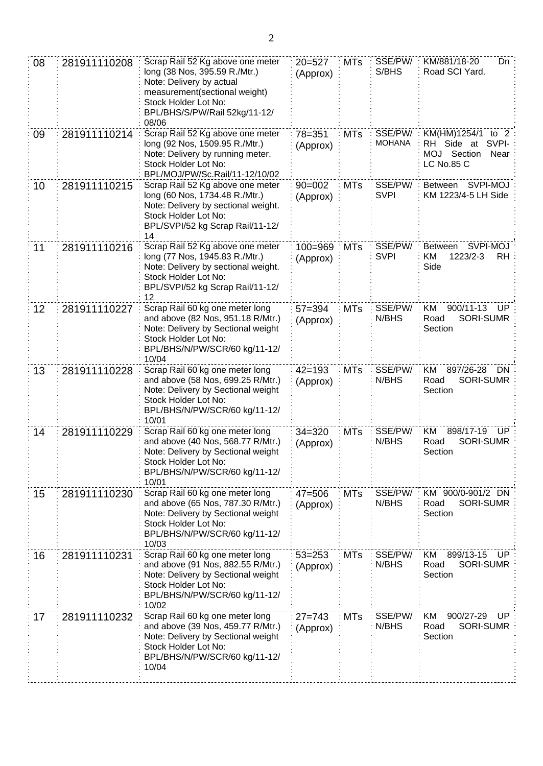| 08 | 281911110208 | Scrap Rail 52 Kg above one meter<br>long (38 Nos, 395.59 R./Mtr.)<br>Note: Delivery by actual<br>measurement(sectional weight)<br>Stock Holder Lot No:<br>BPL/BHS/S/PW/Rail 52kg/11-12/<br>08/06 | $20 = 527$<br>(Approx)  | <b>MTs</b> | SSE/PW/<br>S/BHS         | KM/881/18-20<br>$Dn$ :<br>Road SCI Yard.                                             |
|----|--------------|--------------------------------------------------------------------------------------------------------------------------------------------------------------------------------------------------|-------------------------|------------|--------------------------|--------------------------------------------------------------------------------------|
| 09 | 281911110214 | Scrap Rail 52 Kg above one meter<br>long (92 Nos, 1509.95 R./Mtr.)<br>Note: Delivery by running meter.<br>Stock Holder Lot No:<br>BPL/MOJ/PW/Sc.Rail/11-12/10/02                                 | $78 = 351$<br>(Approx)  | <b>MTs</b> | SSE/PW/<br><b>MOHANA</b> | KM(HM)1254/1 to 2<br>RH Side at<br>SVPI-<br>MOJ Section<br>Near<br><b>LC No.85 C</b> |
| 10 | 281911110215 | Scrap Rail 52 Kg above one meter<br>long (60 Nos, 1734.48 R./Mtr.)<br>Note: Delivery by sectional weight.<br>Stock Holder Lot No:<br>BPL/SVPI/52 kg Scrap Rail/11-12/<br>14                      | $90 = 002$<br>(Approx)  | <b>MTs</b> | SSE/PW/<br><b>SVPI</b>   | SVPI-MOJ<br><b>Between</b><br>KM 1223/4-5 LH Side                                    |
| 11 | 281911110216 | Scrap Rail 52 Kg above one meter<br>long (77 Nos, 1945.83 R./Mtr.)<br>Note: Delivery by sectional weight.<br>Stock Holder Lot No:<br>BPL/SVPI/52 kg Scrap Rail/11-12/<br>12                      | $100 = 969$<br>(Approx) | <b>MTs</b> | SSE/PW/<br><b>SVPI</b>   | SVPI-MOJ<br>Between<br>KM<br>1223/2-3<br><b>RH</b><br>Side                           |
| 12 | 281911110227 | Scrap Rail 60 kg one meter long<br>and above (82 Nos, 951.18 R/Mtr.)<br>Note: Delivery by Sectional weight<br>Stock Holder Lot No:<br>BPL/BHS/N/PW/SCR/60 kg/11-12/<br>10/04                     | $57 = 394$<br>(Approx)  | <b>MTs</b> | SSE/PW/<br>N/BHS         | KM<br>900/11-13<br>UP.<br><b>SORI-SUMR</b><br>Road<br>Section                        |
| 13 | 281911110228 | Scrap Rail 60 kg one meter long<br>and above (58 Nos, 699.25 R/Mtr.)<br>Note: Delivery by Sectional weight<br>Stock Holder Lot No:<br>BPL/BHS/N/PW/SCR/60 kg/11-12/<br>10/01                     | $42 = 193$<br>(Approx)  | <b>MTs</b> | SSE/PW/<br>N/BHS         | 897/26-28<br>ΚM<br>DN.<br><b>SORI-SUMR</b><br>Road<br>Section                        |
| 14 | 281911110229 | Scrap Rail 60 kg one meter long<br>and above (40 Nos, 568.77 R/Mtr.)<br>Note: Delivery by Sectional weight<br>Stock Holder Lot No:<br>BPL/BHS/N/PW/SCR/60 kg/11-12/<br>10/01                     | $34 = 320$<br>(Approx)  | <b>MTs</b> | SSE/PW/<br>N/BHS         | 898/17-19<br>KM<br>UP.<br>SORI-SUMR<br>Road<br>Section                               |
| 15 | 281911110230 | Scrap Rail 60 kg one meter long<br>and above (65 Nos, 787.30 R/Mtr.)<br>Note: Delivery by Sectional weight<br>Stock Holder Lot No:<br>BPL/BHS/N/PW/SCR/60 kg/11-12/<br>10/03                     | $47 = 506$<br>(Approx)  | <b>MTs</b> | SSE/PW/<br>N/BHS         | KM 900/0-901/2 DN<br>Road<br>SORI-SUMR<br>Section                                    |
| 16 | 281911110231 | Scrap Rail 60 kg one meter long<br>and above (91 Nos, 882.55 R/Mtr.)<br>Note: Delivery by Sectional weight<br>Stock Holder Lot No:<br>BPL/BHS/N/PW/SCR/60 kg/11-12/<br>10/02                     | $53 = 253$<br>(Approx)  | <b>MTs</b> | SSE/PW/<br>N/BHS         | 899/13-15<br>KM<br>UP.<br>SORI-SUMR<br>Road<br>Section                               |
| 17 | 281911110232 | Scrap Rail 60 kg one meter long<br>and above (39 Nos, 459.77 R/Mtr.)<br>Note: Delivery by Sectional weight<br>Stock Holder Lot No:<br>BPL/BHS/N/PW/SCR/60 kg/11-12/<br>10/04                     | $27 = 743$<br>(Approx)  | <b>MTs</b> | SSE/PW/<br>N/BHS         | KM<br>900/27-29<br>UP.<br>SORI-SUMR<br>Road<br>Section                               |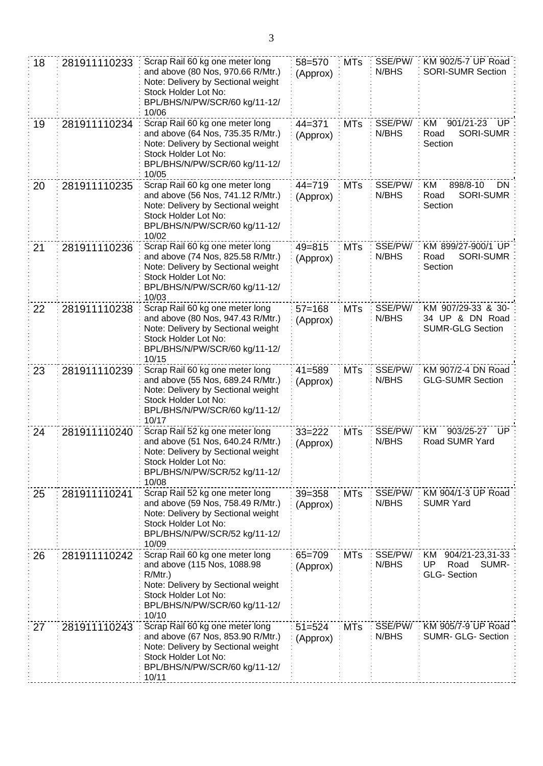| 18 | 281911110233 | Scrap Rail 60 kg one meter long<br>and above (80 Nos, 970.66 R/Mtr.)<br>Note: Delivery by Sectional weight<br>Stock Holder Lot No:<br>BPL/BHS/N/PW/SCR/60 kg/11-12/<br>10/06         | 58=570<br>(Approx)     | <b>MTs</b> | SSE/PW/<br>N/BHS | KM 902/5-7 UP Road<br><b>SORI-SUMR Section</b>                     |
|----|--------------|--------------------------------------------------------------------------------------------------------------------------------------------------------------------------------------|------------------------|------------|------------------|--------------------------------------------------------------------|
| 19 | 281911110234 | Scrap Rail 60 kg one meter long<br>and above (64 Nos, 735.35 R/Mtr.)<br>Note: Delivery by Sectional weight<br>Stock Holder Lot No:<br>BPL/BHS/N/PW/SCR/60 kg/11-12/<br>10/05         | $44 = 371$<br>(Approx) | <b>MTs</b> | SSE/PW/<br>N/BHS | 901/21-23<br>KM<br>UP<br>SORI-SUMR<br>Road<br>Section              |
| 20 | 281911110235 | Scrap Rail 60 kg one meter long<br>and above (56 Nos, 741.12 R/Mtr.)<br>Note: Delivery by Sectional weight<br>Stock Holder Lot No:<br>BPL/BHS/N/PW/SCR/60 kg/11-12/<br>10/02         | $44 = 719$<br>(Approx) | <b>MTs</b> | SSE/PW/<br>N/BHS | 898/8-10<br>ΚM<br>DN<br>SORI-SUMR<br>Road<br>Section               |
| 21 | 281911110236 | Scrap Rail 60 kg one meter long<br>and above (74 Nos, 825.58 R/Mtr.)<br>Note: Delivery by Sectional weight<br>Stock Holder Lot No:<br>BPL/BHS/N/PW/SCR/60 kg/11-12/<br>10/03         | $49 = 815$<br>(Approx) | <b>MTs</b> | SSE/PW/<br>N/BHS | KM 899/27-900/1 UP<br><b>SORI-SUMR</b><br>Road<br>Section          |
| 22 | 281911110238 | Scrap Rail 60 kg one meter long<br>and above (80 Nos, 947.43 R/Mtr.)<br>Note: Delivery by Sectional weight<br>Stock Holder Lot No:<br>BPL/BHS/N/PW/SCR/60 kg/11-12/<br>10/15         | $57 = 168$<br>(Approx) | <b>MTs</b> | SSE/PW/<br>N/BHS | KM 907/29-33 & 30-<br>34 UP & DN Road<br><b>SUMR-GLG Section</b>   |
| 23 | 281911110239 | Scrap Rail 60 kg one meter long<br>and above (55 Nos, 689.24 R/Mtr.)<br>Note: Delivery by Sectional weight<br>Stock Holder Lot No:<br>BPL/BHS/N/PW/SCR/60 kg/11-12/<br>10/17         | $41 = 589$<br>(Approx) | <b>MTs</b> | SSE/PW/<br>N/BHS | KM 907/2-4 DN Road<br><b>GLG-SUMR Section</b>                      |
| 24 | 281911110240 | Scrap Rail 52 kg one meter long<br>and above (51 Nos, 640.24 R/Mtr.)<br>Note: Delivery by Sectional weight<br>Stock Holder Lot No:<br>BPL/BHS/N/PW/SCR/52 kg/11-12/<br>10/08         | $33 = 222$<br>(Approx) | <b>MTs</b> | SSE/PW/<br>N/BHS | 903/25-27<br>KM<br>UP.<br>Road SUMR Yard                           |
| 25 | 281911110241 | Scrap Rail 52 kg one meter long<br>and above (59 Nos, 758.49 R/Mtr.)<br>Note: Delivery by Sectional weight<br>Stock Holder Lot No:<br>BPL/BHS/N/PW/SCR/52 kg/11-12/<br>10/09         | $39 = 358$<br>(Approx) | <b>MTs</b> | SSE/PW/<br>N/BHS | KM 904/1-3 UP Road<br><b>SUMR Yard</b>                             |
| 26 | 281911110242 | Scrap Rail 60 kg one meter long<br>and above (115 Nos, 1088.98<br>$R/Mtr.$ )<br>Note: Delivery by Sectional weight<br>Stock Holder Lot No:<br>BPL/BHS/N/PW/SCR/60 kg/11-12/<br>10/10 | 65=709<br>(Approx)     | <b>MTs</b> | SSE/PW/<br>N/BHS | KM<br>904/21-23,31-33<br>UP<br>SUMR-<br>Road<br><b>GLG-Section</b> |
| 27 | 281911110243 | Scrap Rail 60 kg one meter long<br>and above (67 Nos, 853.90 R/Mtr.)<br>Note: Delivery by Sectional weight<br>Stock Holder Lot No:<br>BPL/BHS/N/PW/SCR/60 kg/11-12/<br>10/11         | $51 = 524$<br>(Approx) | <b>MTs</b> | SSE/PW/<br>N/BHS | KM 905/7-9 UP Road<br><b>SUMR- GLG- Section</b>                    |

3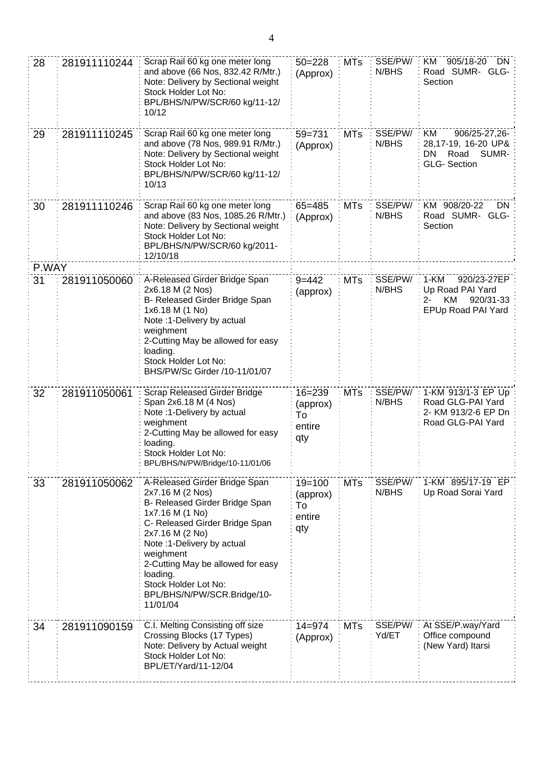| 28          | 281911110244 | Scrap Rail 60 kg one meter long<br>and above (66 Nos, 832.42 R/Mtr.)<br>Note: Delivery by Sectional weight<br>Stock Holder Lot No:<br>BPL/BHS/N/PW/SCR/60 kg/11-12/<br>10/12                                                                                                                                                | $50 = 228$<br>(Approx)                        | <b>MTs</b> | SSE/PW/<br>N/BHS | 905/18-20<br>ΚM<br>DN :<br>Road SUMR- GLG-<br>Section                                   |
|-------------|--------------|-----------------------------------------------------------------------------------------------------------------------------------------------------------------------------------------------------------------------------------------------------------------------------------------------------------------------------|-----------------------------------------------|------------|------------------|-----------------------------------------------------------------------------------------|
| 29          | 281911110245 | Scrap Rail 60 kg one meter long<br>and above (78 Nos, 989.91 R/Mtr.)<br>Note: Delivery by Sectional weight<br>Stock Holder Lot No:<br>BPL/BHS/N/PW/SCR/60 kg/11-12/<br>10/13                                                                                                                                                | 59=731<br>(Approx)                            | <b>MTs</b> | SSE/PW/<br>N/BHS | KM<br>906/25-27,26-<br>28,17-19, 16-20 UP&<br>SUMR-<br>DN<br>Road<br><b>GLG-Section</b> |
| 30          | 281911110246 | Scrap Rail 60 kg one meter long<br>and above (83 Nos, 1085.26 R/Mtr.)<br>Note: Delivery by Sectional weight<br>Stock Holder Lot No:<br>BPL/BHS/N/PW/SCR/60 kg/2011-<br>12/10/18                                                                                                                                             | $65 = 485$<br>(Approx)                        | <b>MTs</b> | SSE/PW/<br>N/BHS | KM 908/20-22<br>DN.<br>Road SUMR- GLG-<br>Section                                       |
| P.WAY<br>31 | 281911050060 | A-Released Girder Bridge Span                                                                                                                                                                                                                                                                                               | $9 = 442$                                     | <b>MTs</b> | SSE/PW/          | 1-KM<br>920/23-27EP                                                                     |
|             |              | 2x6.18 M (2 Nos)<br>B- Released Girder Bridge Span<br>1x6.18 M (1 No)<br>Note :1-Delivery by actual<br>weighment<br>2-Cutting May be allowed for easy<br>loading.<br>Stock Holder Lot No:<br>BHS/PW/Sc Girder /10-11/01/07                                                                                                  | (approx)                                      |            | N/BHS            | Up Road PAI Yard<br>KM<br>920/31-33<br>2-<br>EPUp Road PAI Yard                         |
| 32          | 281911050061 | Scrap Released Girder Bridge<br>Span 2x6.18 M (4 Nos)<br>Note :1-Delivery by actual<br>weighment<br>2-Cutting May be allowed for easy<br>loading.<br>Stock Holder Lot No:<br>BPL/BHS/N/PW/Bridge/10-11/01/06                                                                                                                | $16 = 239$<br>(approx)<br>To<br>entire<br>qty | <b>MTs</b> | SSE/PW/<br>N/BHS | 1-KM 913/1-3 EP Up<br>Road GLG-PAI Yard<br>2- KM 913/2-6 EP Dn<br>Road GLG-PAI Yard     |
| 33          | 281911050062 | A-Released Girder Bridge Span<br>2x7.16 M (2 Nos)<br>B- Released Girder Bridge Span<br>1x7.16 M (1 No)<br>C- Released Girder Bridge Span<br>2x7.16 M (2 No)<br>Note : 1-Delivery by actual<br>weighment<br>2-Cutting May be allowed for easy<br>loading.<br>Stock Holder Lot No:<br>BPL/BHS/N/PW/SCR.Bridge/10-<br>11/01/04 | $19 = 100$<br>(approx)<br>To<br>entire<br>qty | <b>MTs</b> | SSE/PW/<br>N/BHS | 1-KM 895/17-19 EP<br>Up Road Sorai Yard                                                 |
| 34          | 281911090159 | C.I. Melting Consisting off size<br>Crossing Blocks (17 Types)<br>Note: Delivery by Actual weight<br>Stock Holder Lot No:<br>BPL/ET/Yard/11-12/04                                                                                                                                                                           | $14 = 974$<br>(Approx)                        | <b>MTs</b> | SSE/PW/<br>Yd/ET | At SSE/P.way/Yard<br>Office compound<br>(New Yard) Itarsi                               |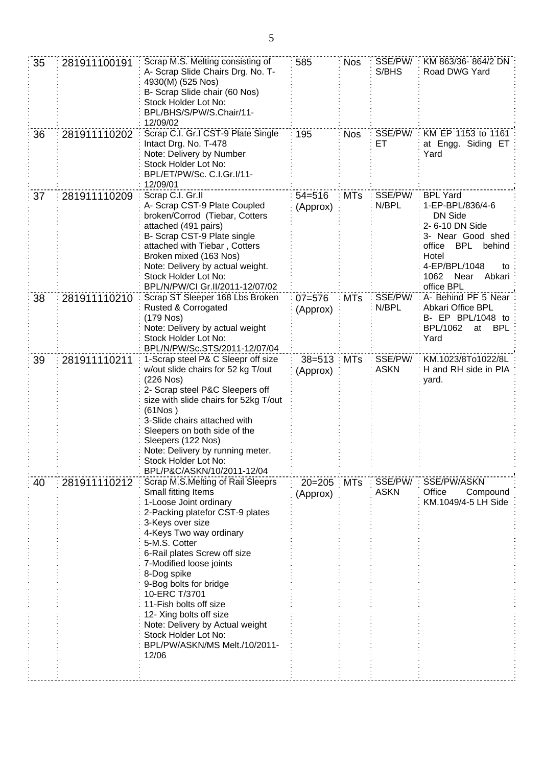| 35 | 281911100191 | Scrap M.S. Melting consisting of<br>A- Scrap Slide Chairs Drg. No. T-<br>4930(M) (525 Nos)<br>B- Scrap Slide chair (60 Nos)<br>Stock Holder Lot No:<br>BPL/BHS/S/PW/S.Chair/11-<br>12/09/02                                                                                                                                                                                                                                                                          | 585                    | <b>Nos</b> | SSE/PW/<br>S/BHS        | KM 863/36-864/2 DN<br>Road DWG Yard                                                                                                                                                                     |
|----|--------------|----------------------------------------------------------------------------------------------------------------------------------------------------------------------------------------------------------------------------------------------------------------------------------------------------------------------------------------------------------------------------------------------------------------------------------------------------------------------|------------------------|------------|-------------------------|---------------------------------------------------------------------------------------------------------------------------------------------------------------------------------------------------------|
| 36 | 281911110202 | Scrap C.I. Gr.I CST-9 Plate Single<br>Intact Drg. No. T-478<br>Note: Delivery by Number<br>Stock Holder Lot No:<br>BPL/ET/PW/Sc. C.I.Gr.I/11-<br>12/09/01                                                                                                                                                                                                                                                                                                            | 195                    | <b>Nos</b> | SSE/PW/<br>ET           | KM EP 1153 to 1161<br>at Engg. Siding ET<br>Yard                                                                                                                                                        |
| 37 | 281911110209 | Scrap C.I. Gr.II<br>A- Scrap CST-9 Plate Coupled<br>broken/Corrod (Tiebar, Cotters<br>attached (491 pairs)<br>B- Scrap CST-9 Plate single<br>attached with Tiebar, Cotters<br>Broken mixed (163 Nos)<br>Note: Delivery by actual weight.<br>Stock Holder Lot No:<br>BPL/N/PW/CI Gr.II/2011-12/07/02                                                                                                                                                                  | $54 = 516$<br>(Approx) | <b>MTs</b> | SSE/PW/<br>N/BPL        | <b>BPL Yard</b><br>1-EP-BPL/836/4-6<br><b>DN Side</b><br>2- 6-10 DN Side<br>3- Near Good shed<br>office<br><b>BPL</b><br>behind<br>Hotel<br>4-EP/BPL/1048<br>to<br>1062<br>Near<br>Abkari<br>office BPL |
| 38 | 281911110210 | Scrap ST Sleeper 168 Lbs Broken<br>Rusted & Corrogated<br>$(179$ Nos)<br>Note: Delivery by actual weight<br>Stock Holder Lot No:<br>BPL/N/PW/Sc.STS/2011-12/07/04                                                                                                                                                                                                                                                                                                    | $07 = 576$<br>(Approx) | <b>MTs</b> | SSE/PW/<br>N/BPL        | A- Behind PF 5 Near<br>Abkari Office BPL<br>B- EP BPL/1048 to<br><b>BPL/1062</b><br>BPL<br>at<br>Yard                                                                                                   |
| 39 | 281911110211 | 1-Scrap steel P& C Sleepr off size<br>w/out slide chairs for 52 kg T/out<br>(226 Nos)<br>2- Scrap steel P&C Sleepers off<br>size with slide chairs for 52kg T/out<br>(61Nos)<br>3-Slide chairs attached with<br>Sleepers on both side of the<br>Sleepers (122 Nos)<br>Note: Delivery by running meter.<br>Stock Holder Lot No:<br>BPL/P&C/ASKN/10/2011-12/04                                                                                                         | $38 = 513$<br>(Approx) | <b>MTs</b> | SSE/PW/<br><b>ASKN</b>  | KM.1023/8To1022/8L<br>H and RH side in PIA<br>yard.                                                                                                                                                     |
| 40 | 281911110212 | Scrap M.S.Melting of Rail Sleeprs<br>Small fitting Items<br>1-Loose Joint ordinary<br>2-Packing platefor CST-9 plates<br>3-Keys over size<br>4-Keys Two way ordinary<br>5-M.S. Cotter<br>6-Rail plates Screw off size<br>7-Modified loose joints<br>8-Dog spike<br>9-Bog bolts for bridge<br>10-ERC T/3701<br>11-Fish bolts off size<br>12- Xing bolts off size<br>Note: Delivery by Actual weight<br>Stock Holder Lot No:<br>BPL/PW/ASKN/MS Melt./10/2011-<br>12/06 | $20 = 205$<br>(Approx) | <b>MTs</b> | SSE/PW/:<br><b>ASKN</b> | SSE/PW/ASKN<br>Office<br>Compound<br>KM.1049/4-5 LH Side                                                                                                                                                |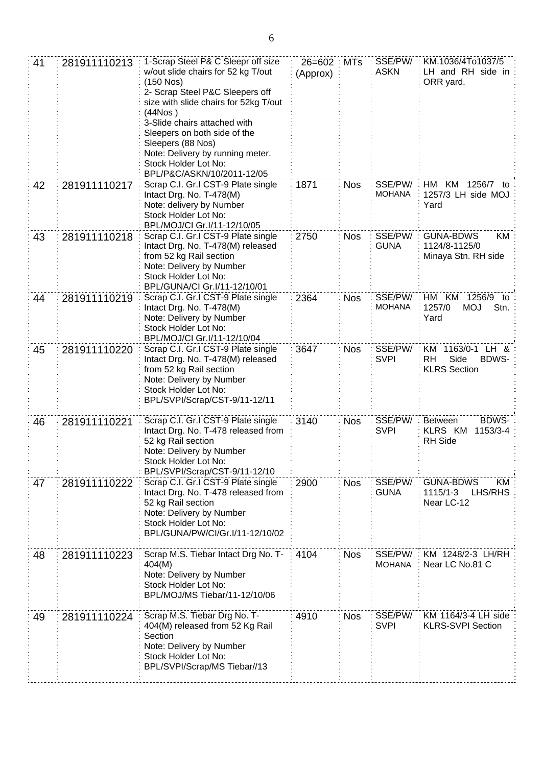| 41 | 281911110213 | 1-Scrap Steel P& C Sleepr off size<br>w/out slide chairs for 52 kg T/out<br>(150 Nos)<br>2- Scrap Steel P&C Sleepers off<br>size with slide chairs for 52kg T/out<br>(44Nos )<br>3-Slide chairs attached with<br>Sleepers on both side of the<br>Sleepers (88 Nos)<br>Note: Delivery by running meter.<br>Stock Holder Lot No:<br>BPL/P&C/ASKN/10/2011-12/05 | $26 = 602$<br>(Approx) | MTs        | SSE/PW/<br><b>ASKN</b>   | KM.1036/4To1037/5<br>LH and RH side in<br>ORR yard.                     |
|----|--------------|--------------------------------------------------------------------------------------------------------------------------------------------------------------------------------------------------------------------------------------------------------------------------------------------------------------------------------------------------------------|------------------------|------------|--------------------------|-------------------------------------------------------------------------|
| 42 | 281911110217 | Scrap C.I. Gr.I CST-9 Plate single<br>Intact Drg. No. T-478(M)<br>Note: delivery by Number<br>Stock Holder Lot No:<br>BPL/MOJ/CI Gr.I/11-12/10/05                                                                                                                                                                                                            | 1871                   | <b>Nos</b> | SSE/PW/<br><b>MOHANA</b> | HM KM 1256/7 to<br>1257/3 LH side MOJ<br>Yard                           |
| 43 | 281911110218 | Scrap C.I. Gr.I CST-9 Plate single<br>Intact Drg. No. T-478(M) released<br>from 52 kg Rail section<br>Note: Delivery by Number<br>Stock Holder Lot No:<br>BPL/GUNA/CI Gr.I/11-12/10/01                                                                                                                                                                       | 2750                   | <b>Nos</b> | SSE/PW/<br><b>GUNA</b>   | <b>GUNA-BDWS</b><br>KM<br>1124/8-1125/0<br>Minaya Stn. RH side          |
| 44 | 281911110219 | Scrap C.I. Gr.I CST-9 Plate single<br>Intact Drg. No. T-478(M)<br>Note: Delivery by Number<br>Stock Holder Lot No:<br>BPL/MOJ/CI Gr.I/11-12/10/04                                                                                                                                                                                                            | 2364                   | <b>Nos</b> | SSE/PW/<br><b>MOHANA</b> | HM<br>KM<br>1256/9<br>to<br><b>MOJ</b><br>Stn.<br>1257/0<br>Yard        |
| 45 | 281911110220 | Scrap C.I. Gr.I CST-9 Plate single<br>Intact Drg. No. T-478(M) released<br>from 52 kg Rail section<br>Note: Delivery by Number<br>Stock Holder Lot No:<br>BPL/SVPI/Scrap/CST-9/11-12/11                                                                                                                                                                      | 3647                   | <b>Nos</b> | SSE/PW/<br><b>SVPI</b>   | KM 1163/0-1 LH &<br>Side<br>RH<br>BDWS-<br><b>KLRS Section</b>          |
| 46 | 281911110221 | Scrap C.I. Gr.I CST-9 Plate single<br>Intact Drg. No. T-478 released from<br>52 kg Rail section<br>Note: Delivery by Number<br>Stock Holder Lot No:<br>BPL/SVPI/Scrap/CST-9/11-12/10                                                                                                                                                                         | 3140                   | <b>Nos</b> | SSE/PW/<br><b>SVPI</b>   | BDWS-<br><b>Between</b><br><b>KLRS KM</b><br>1153/3-4<br><b>RH</b> Side |
| 47 | 281911110222 | Scrap C.I. Gr.I CST-9 Plate single<br>Intact Drg. No. T-478 released from<br>52 kg Rail section<br>Note: Delivery by Number<br>Stock Holder Lot No:<br>BPL/GUNA/PW/CI/Gr.I/11-12/10/02                                                                                                                                                                       | 2900                   | <b>Nos</b> | SSE/PW/<br><b>GUNA</b>   | <b>GUNA-BDWS</b><br>KM<br>LHS/RHS<br>1115/1-3<br>Near LC-12             |
| 48 | 281911110223 | Scrap M.S. Tiebar Intact Drg No. T-<br>404(M)<br>Note: Delivery by Number<br>Stock Holder Lot No:<br>BPL/MOJ/MS Tiebar/11-12/10/06                                                                                                                                                                                                                           | 4104                   | <b>Nos</b> | SSE/PW/<br><b>MOHANA</b> | KM 1248/2-3 LH/RH<br>Near LC No.81 C                                    |
| 49 | 281911110224 | Scrap M.S. Tiebar Drg No. T-<br>404(M) released from 52 Kg Rail<br>Section<br>Note: Delivery by Number<br>Stock Holder Lot No:<br>BPL/SVPI/Scrap/MS Tiebar//13                                                                                                                                                                                               | 4910                   | <b>Nos</b> | SSE/PW/<br><b>SVPI</b>   | KM 1164/3-4 LH side<br><b>KLRS-SVPI Section</b>                         |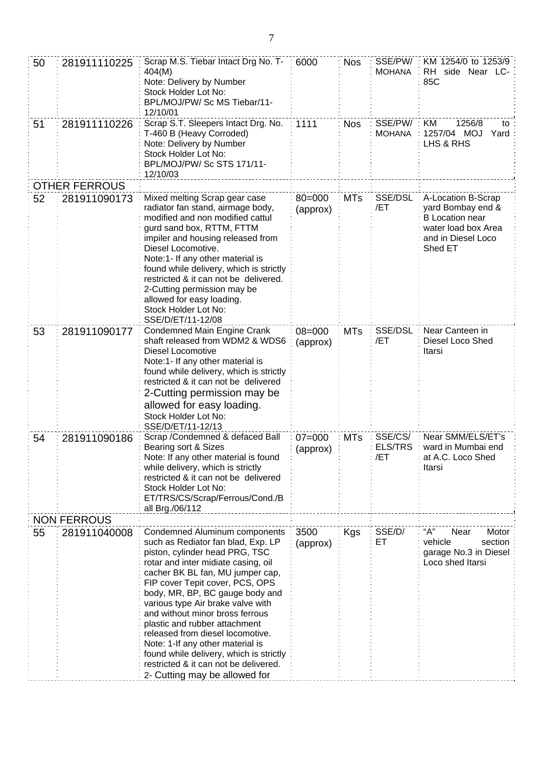| 50 | 281911110225         | Scrap M.S. Tiebar Intact Drg No. T-<br>404(M)<br>Note: Delivery by Number<br>Stock Holder Lot No:<br>BPL/MOJ/PW/ Sc MS Tiebar/11-<br>12/10/01                                                                                                                                                                                                                                                                                                                                                                                                                | 6000                   | <b>Nos</b> | SSE/PW/<br><b>MOHANA</b>         | KM 1254/0 to 1253/9<br>RH side Near LC-<br>85C                                                                            |
|----|----------------------|--------------------------------------------------------------------------------------------------------------------------------------------------------------------------------------------------------------------------------------------------------------------------------------------------------------------------------------------------------------------------------------------------------------------------------------------------------------------------------------------------------------------------------------------------------------|------------------------|------------|----------------------------------|---------------------------------------------------------------------------------------------------------------------------|
| 51 | 281911110226         | Scrap S.T. Sleepers Intact Drg. No.<br>T-460 B (Heavy Corroded)<br>Note: Delivery by Number<br>Stock Holder Lot No:<br>BPL/MOJ/PW/ Sc STS 171/11-<br>12/10/03                                                                                                                                                                                                                                                                                                                                                                                                | 1111                   | <b>Nos</b> | SSE/PW/<br><b>MOHANA</b>         | KM<br>1256/8<br>to<br>1257/04 MOJ<br>Yard<br>LHS & RHS                                                                    |
|    | <b>OTHER FERROUS</b> |                                                                                                                                                                                                                                                                                                                                                                                                                                                                                                                                                              |                        |            |                                  |                                                                                                                           |
| 52 | 281911090173         | Mixed melting Scrap gear case<br>radiator fan stand, airmage body,<br>modified and non modified cattul<br>gurd sand box, RTTM, FTTM<br>impiler and housing released from<br>Diesel Locomotive.<br>Note:1- If any other material is<br>found while delivery, which is strictly<br>restricted & it can not be delivered.<br>2-Cutting permission may be<br>allowed for easy loading.<br>Stock Holder Lot No:<br>SSE/D/ET/11-12/08                                                                                                                              | $80 = 000$<br>(approx) | <b>MTs</b> | SSE/DSL<br>/ET                   | A-Location B-Scrap<br>yard Bombay end &<br><b>B</b> Location near<br>water load box Area<br>and in Diesel Loco<br>Shed ET |
| 53 | 281911090177         | Condemned Main Engine Crank<br>shaft released from WDM2 & WDS6<br>Diesel Locomotive<br>Note:1- If any other material is<br>found while delivery, which is strictly<br>restricted & it can not be delivered<br>2-Cutting permission may be<br>allowed for easy loading.<br>Stock Holder Lot No:<br>SSE/D/ET/11-12/13                                                                                                                                                                                                                                          | $08 = 000$<br>(approx) | <b>MTs</b> | SSE/DSL<br>/ET                   | Near Canteen in<br>Diesel Loco Shed<br>Itarsi                                                                             |
| 54 | 281911090186         | Scrap / Condemned & defaced Ball<br>Bearing sort & Sizes<br>Note: If any other material is found<br>while delivery, which is strictly<br>restricted & it can not be delivered<br>Stock Holder Lot No:<br>ET/TRS/CS/Scrap/Ferrous/Cond./B<br>all Brg./06/112                                                                                                                                                                                                                                                                                                  | $07 = 000$<br>(approx) | <b>MTs</b> | SSE/CS/<br><b>ELS/TRS</b><br>/ET | Near SMM/ELS/ET's<br>ward in Mumbai end<br>at A.C. Loco Shed<br>Itarsi                                                    |
|    | <b>NON FERROUS</b>   |                                                                                                                                                                                                                                                                                                                                                                                                                                                                                                                                                              |                        |            |                                  |                                                                                                                           |
| 55 | 281911040008         | Condemned Aluminum components<br>such as Rediator fan blad, Exp. LP<br>piston, cylinder head PRG, TSC<br>rotar and inter midiate casing, oil<br>cacher BK BL fan, MU jumper cap,<br>FIP cover Tepit cover, PCS, OPS<br>body, MR, BP, BC gauge body and<br>various type Air brake valve with<br>and without minor bross ferrous<br>plastic and rubber attachment<br>released from diesel locomotive.<br>Note: 1-If any other material is<br>found while delivery, which is strictly<br>restricted & it can not be delivered.<br>2- Cutting may be allowed for | 3500<br>(approx)       | Kgs        | SSE/D/<br>ET                     | "А"<br>Motor<br>Near<br>vehicle<br>section<br>garage No.3 in Diesel<br>Loco shed Itarsi                                   |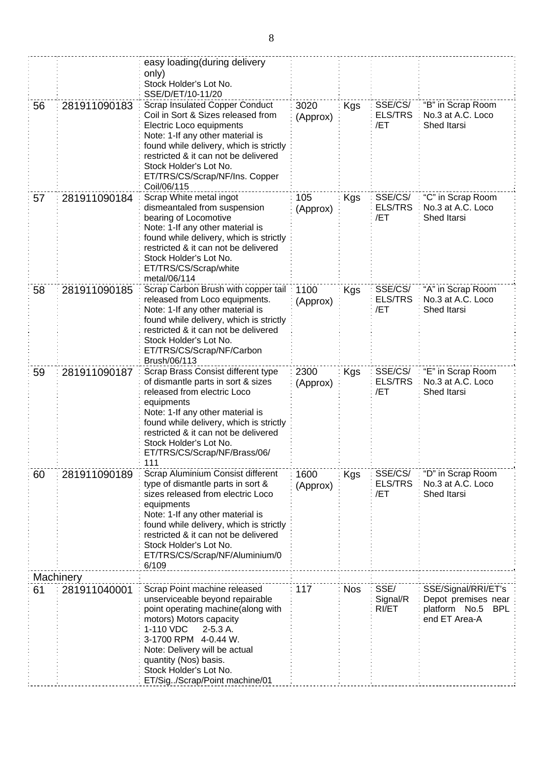|    |              | easy loading (during delivery<br>only)<br>Stock Holder's Lot No.<br>SSE/D/ET/10-11/20                                                                                                                                                                                                                                 |                  |            |                                  |                                                                                            |
|----|--------------|-----------------------------------------------------------------------------------------------------------------------------------------------------------------------------------------------------------------------------------------------------------------------------------------------------------------------|------------------|------------|----------------------------------|--------------------------------------------------------------------------------------------|
| 56 | 281911090183 | <b>Scrap Insulated Copper Conduct</b><br>Coil in Sort & Sizes released from<br>Electric Loco equipments<br>Note: 1-If any other material is<br>found while delivery, which is strictly<br>restricted & it can not be delivered<br>Stock Holder's Lot No.<br>ET/TRS/CS/Scrap/NF/Ins. Copper<br>Coil/06/115             | 3020<br>(Approx) | <b>Kgs</b> | SSE/CS/<br><b>ELS/TRS</b><br>/ET | "B" in Scrap Room<br>No.3 at A.C. Loco<br>Shed Itarsi                                      |
| 57 | 281911090184 | Scrap White metal ingot<br>dismeantaled from suspension<br>bearing of Locomotive<br>Note: 1-If any other material is<br>found while delivery, which is strictly<br>restricted & it can not be delivered<br>Stock Holder's Lot No.<br>ET/TRS/CS/Scrap/white<br>metal/06/114                                            | 105<br>(Approx)  | Kgs        | SSE/CS/<br><b>ELS/TRS</b><br>/ET | "C" in Scrap Room<br>No.3 at A.C. Loco<br>Shed Itarsi                                      |
| 58 | 281911090185 | Scrap Carbon Brush with copper tail<br>released from Loco equipments.<br>Note: 1-If any other material is<br>found while delivery, which is strictly<br>restricted & it can not be delivered<br>Stock Holder's Lot No.<br>ET/TRS/CS/Scrap/NF/Carbon<br>Brush/06/113                                                   | 1100<br>(Approx) | Kgs        | SSE/CS/<br><b>ELS/TRS</b><br>/ET | "A" in Scrap Room<br>No.3 at A.C. Loco<br>Shed Itarsi                                      |
| 59 | 281911090187 | Scrap Brass Consist different type<br>of dismantle parts in sort & sizes<br>released from electric Loco<br>equipments<br>Note: 1-If any other material is<br>found while delivery, which is strictly<br>restricted & it can not be delivered<br>Stock Holder's Lot No.<br>ET/TRS/CS/Scrap/NF/Brass/06/<br>111         | 2300<br>(Approx) | Kgs        | SSE/CS/<br><b>ELS/TRS</b><br>/ET | "E" in Scrap Room<br>No.3 at A.C. Loco<br>Shed Itarsi                                      |
| 60 | 281911090189 | Scrap Aluminium Consist different<br>type of dismantle parts in sort &<br>sizes released from electric Loco<br>equipments<br>Note: 1-If any other material is<br>found while delivery, which is strictly<br>restricted & it can not be delivered<br>Stock Holder's Lot No.<br>ET/TRS/CS/Scrap/NF/Aluminium/0<br>6/109 | 1600<br>(Approx) | <b>Kgs</b> | SSE/CS/<br><b>ELS/TRS</b><br>/ET | "D" in Scrap Room<br>No.3 at A.C. Loco<br>Shed Itarsi                                      |
|    | Machinery    |                                                                                                                                                                                                                                                                                                                       |                  |            |                                  |                                                                                            |
| 61 | 281911040001 | Scrap Point machine released<br>unserviceable beyond repairable<br>point operating machine(along with<br>motors) Motors capacity<br>1-110 VDC<br>$2-5.3A$ .<br>3-1700 RPM 4-0.44 W.<br>Note: Delivery will be actual<br>quantity (Nos) basis.<br>Stock Holder's Lot No.<br>ET/Sig/Scrap/Point machine/01              | 117              | <b>Nos</b> | SSE/<br>Signal/R<br>RI/ET        | SSE/Signal/RRI/ET's<br>Depot premises near<br>platform No.5<br><b>BPL</b><br>end ET Area-A |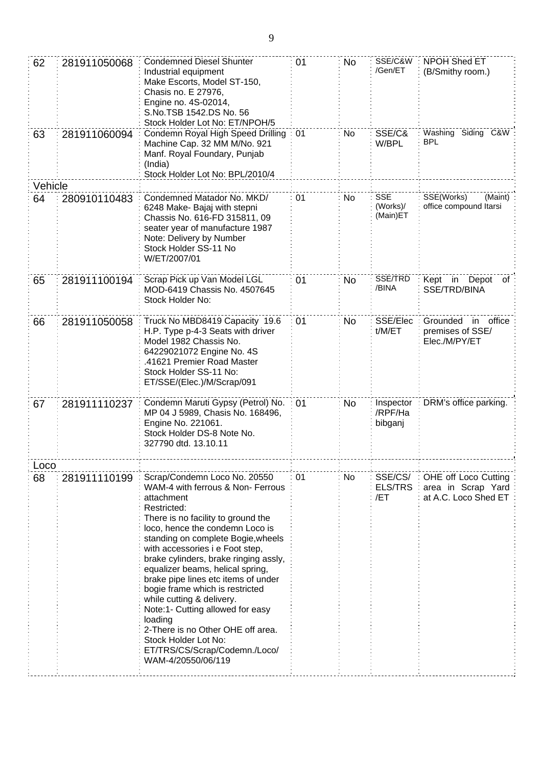| 62      | 281911050068 | <b>Condemned Diesel Shunter</b><br>Industrial equipment<br>Make Escorts, Model ST-150,<br>Chasis no. E 27976,<br>Engine no. 4S-02014,<br>S.No.TSB 1542.DS No. 56<br>Stock Holder Lot No: ET/NPOH/5                                                                                                                                                                                                                                                                                                                                                                                                      | 01 | No | SSE/C&W<br>/Gen/ET                 | <b>NPOH Shed ET</b><br>(B/Smithy room.)                            |
|---------|--------------|---------------------------------------------------------------------------------------------------------------------------------------------------------------------------------------------------------------------------------------------------------------------------------------------------------------------------------------------------------------------------------------------------------------------------------------------------------------------------------------------------------------------------------------------------------------------------------------------------------|----|----|------------------------------------|--------------------------------------------------------------------|
| 63      | 281911060094 | Condemn Royal High Speed Drilling<br>Machine Cap. 32 MM M/No. 921<br>Manf. Royal Foundary, Punjab<br>(India)<br>Stock Holder Lot No: BPL/2010/4                                                                                                                                                                                                                                                                                                                                                                                                                                                         | 01 | No | SSE/C&<br>W/BPL                    | Washing Siding C&W<br><b>BPL</b>                                   |
| Vehicle |              |                                                                                                                                                                                                                                                                                                                                                                                                                                                                                                                                                                                                         |    |    |                                    |                                                                    |
| 64      | 280910110483 | Condemned Matador No. MKD/<br>6248 Make- Bajaj with stepni<br>Chassis No. 616-FD 315811, 09<br>seater year of manufacture 1987<br>Note: Delivery by Number<br>Stock Holder SS-11 No<br>W/ET/2007/01                                                                                                                                                                                                                                                                                                                                                                                                     | 01 | No | <b>SSE</b><br>(Works)/<br>(Main)ET | SSE(Works)<br>(Maint)<br>office compound Itarsi                    |
| 65      | 281911100194 | Scrap Pick up Van Model LGL<br>MOD-6419 Chassis No. 4507645<br>Stock Holder No:                                                                                                                                                                                                                                                                                                                                                                                                                                                                                                                         | 01 | No | SSE/TRD<br>/BINA                   | Kept in Depot<br>ot<br>SSE/TRD/BINA                                |
| 66      | 281911050058 | Truck No MBD8419 Capacity 19.6<br>H.P. Type p-4-3 Seats with driver<br>Model 1982 Chassis No.<br>64229021072 Engine No. 4S<br>.41621 Premier Road Master<br>Stock Holder SS-11 No:<br>ET/SSE/(Elec.)/M/Scrap/091                                                                                                                                                                                                                                                                                                                                                                                        | 01 | No | SSE/Elec:<br>t/M/ET                | Grounded in office<br>premises of SSE/<br>Elec./M/PY/ET            |
| 67      | 281911110237 | Condemn Maruti Gypsy (Petrol) No.<br>MP 04 J 5989, Chasis No. 168496,<br>Engine No. 221061.<br>Stock Holder DS-8 Note No.<br>327790 dtd. 13.10.11                                                                                                                                                                                                                                                                                                                                                                                                                                                       | 01 | No | Inspector<br>/RPF/Ha<br>bibganj    | DRM's office parking.                                              |
| Loco    |              |                                                                                                                                                                                                                                                                                                                                                                                                                                                                                                                                                                                                         |    |    |                                    |                                                                    |
| 68      | 281911110199 | Scrap/Condemn Loco No. 20550<br>WAM-4 with ferrous & Non- Ferrous<br>attachment<br>Restricted:<br>There is no facility to ground the<br>loco, hence the condemn Loco is<br>standing on complete Bogie, wheels<br>with accessories i e Foot step,<br>brake cylinders, brake ringing assly,<br>equalizer beams, helical spring,<br>brake pipe lines etc items of under<br>bogie frame which is restricted<br>while cutting & delivery.<br>Note:1- Cutting allowed for easy<br>loading<br>2-There is no Other OHE off area.<br>Stock Holder Lot No:<br>ET/TRS/CS/Scrap/Codemn./Loco/<br>WAM-4/20550/06/119 | 01 | No | SSE/CS/ :<br><b>ELS/TRS</b><br>/ET | OHE off Loco Cutting<br>area in Scrap Yard<br>at A.C. Loco Shed ET |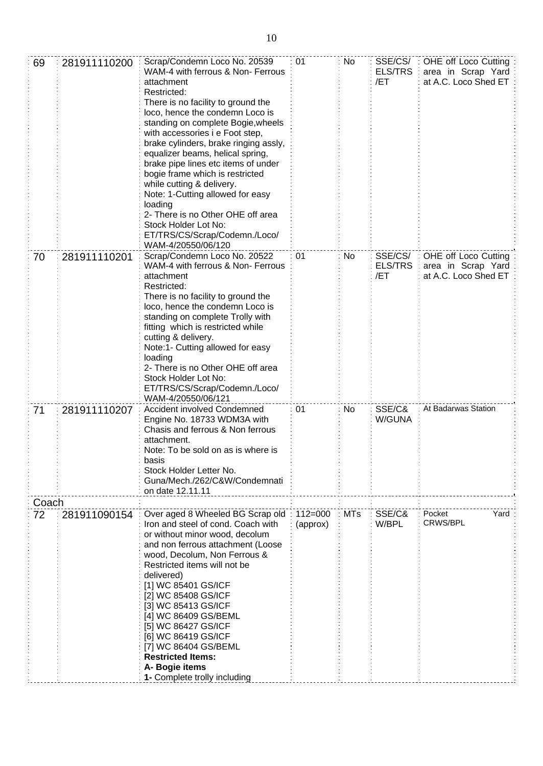| 69          | 281911110200 | Scrap/Condemn Loco No. 20539<br>WAM-4 with ferrous & Non- Ferrous<br>attachment<br>Restricted:<br>There is no facility to ground the<br>loco, hence the condemn Loco is<br>standing on complete Bogie, wheels<br>with accessories i e Foot step,<br>brake cylinders, brake ringing assly,<br>equalizer beams, helical spring,<br>brake pipe lines etc items of under<br>bogie frame which is restricted<br>while cutting & delivery.<br>Note: 1-Cutting allowed for easy<br>loading<br>2- There is no Other OHE off area<br>Stock Holder Lot No:<br>ET/TRS/CS/Scrap/Codemn./Loco/<br>WAM-4/20550/06/120 | 01          | No         | SSE/CS/<br><b>ELS/TRS</b><br>/ET | OHE off Loco Cutting<br>area in Scrap Yard<br>at A.C. Loco Shed ET: |
|-------------|--------------|---------------------------------------------------------------------------------------------------------------------------------------------------------------------------------------------------------------------------------------------------------------------------------------------------------------------------------------------------------------------------------------------------------------------------------------------------------------------------------------------------------------------------------------------------------------------------------------------------------|-------------|------------|----------------------------------|---------------------------------------------------------------------|
| 70          | 281911110201 | Scrap/Condemn Loco No. 20522<br>WAM-4 with ferrous & Non- Ferrous<br>attachment<br>Restricted:<br>There is no facility to ground the<br>loco, hence the condemn Loco is<br>standing on complete Trolly with<br>fitting which is restricted while<br>cutting & delivery.<br>Note:1- Cutting allowed for easy<br>loading<br>2- There is no Other OHE off area<br>Stock Holder Lot No:<br>ET/TRS/CS/Scrap/Codemn./Loco/<br>WAM-4/20550/06/121                                                                                                                                                              | 01          | No         | SSE/CS/<br><b>ELS/TRS</b><br>/ET | OHE off Loco Cutting<br>area in Scrap Yard<br>at A.C. Loco Shed ET  |
| 71          | 281911110207 | Accident involved Condemned<br>Engine No. 18733 WDM3A with<br>Chasis and ferrous & Non ferrous<br>attachment.<br>Note: To be sold on as is where is<br>basis<br>Stock Holder Letter No.<br>Guna/Mech./262/C&W/Condemnati<br>on date 12.11.11                                                                                                                                                                                                                                                                                                                                                            | 01          | No         | SSE/C&<br>W/GUNA                 | At Badarwas Station                                                 |
| Coach<br>72 | 281911090154 | Over aged 8 Wheeled BG Scrap old                                                                                                                                                                                                                                                                                                                                                                                                                                                                                                                                                                        | $112 = 000$ | <b>MTs</b> | SSE/C&                           | Pocket<br>Yard                                                      |
|             |              | Iron and steel of cond. Coach with<br>or without minor wood, decolum<br>and non ferrous attachment (Loose<br>wood, Decolum, Non Ferrous &<br>Restricted items will not be<br>delivered)<br>[1] WC 85401 GS/ICF<br>[2] WC 85408 GS/ICF<br>[3] WC 85413 GS/ICF<br>[4] WC 86409 GS/BEML<br>[5] WC 86427 GS/ICF<br>[6] WC 86419 GS/ICF<br>[7] WC 86404 GS/BEML<br><b>Restricted Items:</b><br>A- Bogie items<br>1- Complete trolly including                                                                                                                                                                | (approx)    |            | W/BPL                            | CRWS/BPL                                                            |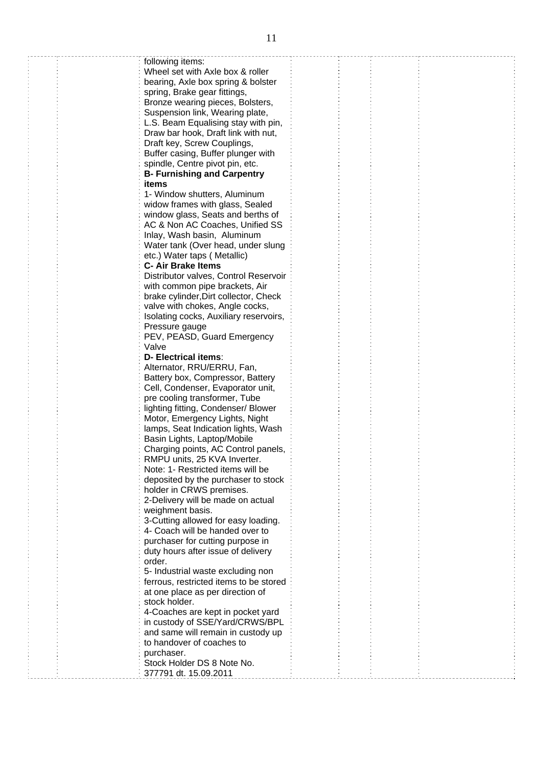| following items:                       |  |  |
|----------------------------------------|--|--|
| Wheel set with Axle box & roller       |  |  |
|                                        |  |  |
| bearing, Axle box spring & bolster     |  |  |
| spring, Brake gear fittings,           |  |  |
| Bronze wearing pieces, Bolsters,       |  |  |
| Suspension link, Wearing plate,        |  |  |
| L.S. Beam Equalising stay with pin,    |  |  |
| Draw bar hook, Draft link with nut,    |  |  |
|                                        |  |  |
| Draft key, Screw Couplings,            |  |  |
| Buffer casing, Buffer plunger with     |  |  |
| spindle, Centre pivot pin, etc.        |  |  |
| <b>B- Furnishing and Carpentry</b>     |  |  |
| items                                  |  |  |
| 1- Window shutters, Aluminum           |  |  |
|                                        |  |  |
| widow frames with glass, Sealed        |  |  |
| window glass, Seats and berths of      |  |  |
| AC & Non AC Coaches, Unified SS        |  |  |
| Inlay, Wash basin, Aluminum            |  |  |
| Water tank (Over head, under slung     |  |  |
|                                        |  |  |
| etc.) Water taps (Metallic)            |  |  |
| <b>C- Air Brake Items</b>              |  |  |
| Distributor valves, Control Reservoir  |  |  |
| with common pipe brackets, Air         |  |  |
| brake cylinder, Dirt collector, Check  |  |  |
| valve with chokes, Angle cocks,        |  |  |
| Isolating cocks, Auxiliary reservoirs, |  |  |
|                                        |  |  |
| Pressure gauge                         |  |  |
| PEV, PEASD, Guard Emergency            |  |  |
| Valve                                  |  |  |
| <b>D- Electrical items:</b>            |  |  |
| Alternator, RRU/ERRU, Fan,             |  |  |
| Battery box, Compressor, Battery       |  |  |
|                                        |  |  |
| Cell, Condenser, Evaporator unit,      |  |  |
| pre cooling transformer, Tube          |  |  |
| lighting fitting, Condenser/ Blower    |  |  |
| Motor, Emergency Lights, Night         |  |  |
| lamps, Seat Indication lights, Wash    |  |  |
| Basin Lights, Laptop/Mobile            |  |  |
| Charging points, AC Control panels,    |  |  |
|                                        |  |  |
| RMPU units, 25 KVA Inverter.           |  |  |
| Note: 1- Restricted items will be      |  |  |
| deposited by the purchaser to stock    |  |  |
| holder in CRWS premises.               |  |  |
| 2-Delivery will be made on actual      |  |  |
| weighment basis.                       |  |  |
| 3-Cutting allowed for easy loading.    |  |  |
|                                        |  |  |
| 4- Coach will be handed over to        |  |  |
| purchaser for cutting purpose in       |  |  |
| duty hours after issue of delivery     |  |  |
| order.                                 |  |  |
| 5- Industrial waste excluding non      |  |  |
| ferrous, restricted items to be stored |  |  |
|                                        |  |  |
| at one place as per direction of       |  |  |
| stock holder.                          |  |  |
| 4-Coaches are kept in pocket yard      |  |  |
| in custody of SSE/Yard/CRWS/BPL        |  |  |
| and same will remain in custody up     |  |  |
| to handover of coaches to              |  |  |
|                                        |  |  |
| purchaser.                             |  |  |
| Stock Holder DS 8 Note No.             |  |  |
| 377791 dt. 15.09.2011                  |  |  |
|                                        |  |  |

 $\sum_{i=1}^{n}$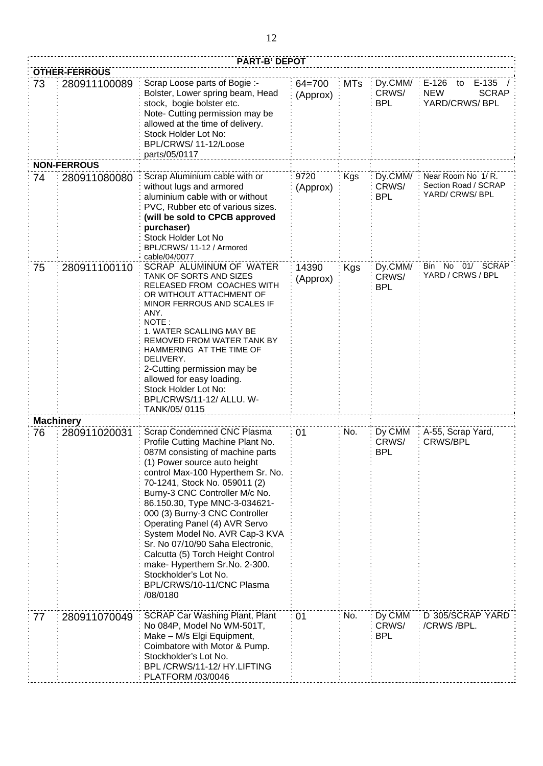|    | <b>PART-B' DEPOT</b> |                                                                                                                                                                                                                                                                                                                                                                                                                                                                                                                                                               |                        |            |                                |                                                                          |  |
|----|----------------------|---------------------------------------------------------------------------------------------------------------------------------------------------------------------------------------------------------------------------------------------------------------------------------------------------------------------------------------------------------------------------------------------------------------------------------------------------------------------------------------------------------------------------------------------------------------|------------------------|------------|--------------------------------|--------------------------------------------------------------------------|--|
|    | <b>OTHER-FERROUS</b> |                                                                                                                                                                                                                                                                                                                                                                                                                                                                                                                                                               |                        |            |                                |                                                                          |  |
| 73 | 280911100089         | Scrap Loose parts of Bogie :-<br>Bolster, Lower spring beam, Head<br>stock, bogie bolster etc.<br>Note- Cutting permission may be<br>allowed at the time of delivery.<br>Stock Holder Lot No:<br>BPL/CRWS/11-12/Loose<br>parts/05/0117                                                                                                                                                                                                                                                                                                                        | $64 = 700$<br>(Approx) | <b>MTs</b> | Dy.CMM/<br>CRWS/<br><b>BPL</b> | $E-126$<br>$E-135$<br>to<br><b>NEW</b><br><b>SCRAP</b><br>YARD/CRWS/ BPL |  |
|    | <b>NON-FERROUS</b>   |                                                                                                                                                                                                                                                                                                                                                                                                                                                                                                                                                               |                        |            |                                |                                                                          |  |
| 74 | 280911080080         | Scrap Aluminium cable with or<br>without lugs and armored<br>aluminium cable with or without<br>PVC, Rubber etc of various sizes.<br>(will be sold to CPCB approved<br>purchaser)<br>Stock Holder Lot No<br>BPL/CRWS/11-12 / Armored<br>cable/04/0077                                                                                                                                                                                                                                                                                                         | 9720<br>(Approx)       | Kgs        | Dy.CMM/<br>CRWS/<br><b>BPL</b> | Near Room No 1/R.<br>Section Road / SCRAP<br>YARD/ CRWS/ BPL             |  |
| 75 | 280911100110         | SCRAP ALUMINUM OF WATER<br>TANK OF SORTS AND SIZES<br>RELEASED FROM COACHES WITH<br>OR WITHOUT ATTACHMENT OF<br>MINOR FERROUS AND SCALES IF<br>ANY.<br>NOTE:<br>1. WATER SCALLING MAY BE<br>REMOVED FROM WATER TANK BY<br>HAMMERING AT THE TIME OF<br>DELIVERY.<br>2-Cutting permission may be<br>allowed for easy loading.<br>Stock Holder Lot No:<br>BPL/CRWS/11-12/ ALLU. W-<br>TANK/05/0115                                                                                                                                                               | 14390<br>(Approx)      | <b>Kgs</b> | Dy.CMM/<br>CRWS/<br><b>BPL</b> | Bin No 01/ SCRAP<br>YARD / CRWS / BPL                                    |  |
|    | <b>Machinery</b>     |                                                                                                                                                                                                                                                                                                                                                                                                                                                                                                                                                               |                        |            |                                |                                                                          |  |
| 76 | 280911020031         | Scrap Condemned CNC Plasma<br>Profile Cutting Machine Plant No.<br>087M consisting of machine parts<br>(1) Power source auto height<br>control Max-100 Hyperthem Sr. No.<br>70-1241, Stock No. 059011 (2)<br>Burny-3 CNC Controller M/c No.<br>86.150.30, Type MNC-3-034621-<br>000 (3) Burny-3 CNC Controller<br>Operating Panel (4) AVR Servo<br>System Model No. AVR Cap-3 KVA<br>Sr. No 07/10/90 Saha Electronic,<br>Calcutta (5) Torch Height Control<br>make- Hyperthem Sr.No. 2-300.<br>Stockholder's Lot No.<br>BPL/CRWS/10-11/CNC Plasma<br>/08/0180 | 01                     | No.        | Dy CMM<br>CRWS/<br>BPL         | A-55, Scrap Yard,<br><b>CRWS/BPL</b>                                     |  |
| 77 | 280911070049         | <b>SCRAP Car Washing Plant, Plant</b><br>No 084P, Model No WM-501T,<br>Make - M/s Elgi Equipment,<br>Coimbatore with Motor & Pump.<br>Stockholder's Lot No.<br>BPL/CRWS/11-12/HY.LIFTING<br>PLATFORM /03/0046                                                                                                                                                                                                                                                                                                                                                 | 01                     | No.        | Dy CMM<br>CRWS/<br><b>BPL</b>  | D 305/SCRAP YARD<br>/CRWS/BPL.                                           |  |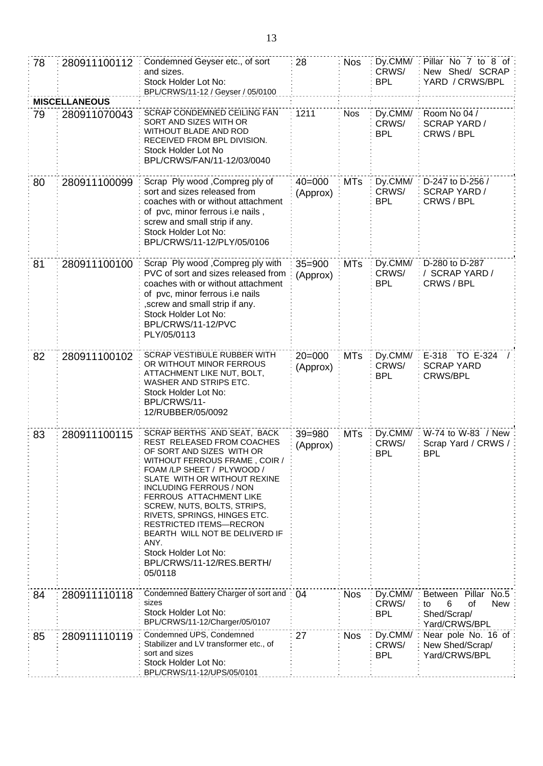| 78                   | 280911100112 | Condemned Geyser etc., of sort<br>and sizes.<br>Stock Holder Lot No:<br>BPL/CRWS/11-12 / Geyser / 05/0100                                                                                                                                                                                                                                                                                                                                                     | 28                     | <b>Nos</b> | Dy.CMM/:<br>CRWS/<br><b>BPL</b> | Pillar No 7 to 8 of<br>New Shed/ SCRAP<br>YARD / CRWS/BPL                   |  |  |
|----------------------|--------------|---------------------------------------------------------------------------------------------------------------------------------------------------------------------------------------------------------------------------------------------------------------------------------------------------------------------------------------------------------------------------------------------------------------------------------------------------------------|------------------------|------------|---------------------------------|-----------------------------------------------------------------------------|--|--|
| <b>MISCELLANEOUS</b> |              |                                                                                                                                                                                                                                                                                                                                                                                                                                                               |                        |            |                                 |                                                                             |  |  |
| 79                   | 280911070043 | SCRAP CONDEMNED CEILING FAN<br>SORT AND SIZES WITH OR<br>WITHOUT BLADE AND ROD<br>RECEIVED FROM BPL DIVISION.<br>Stock Holder Lot No<br>BPL/CRWS/FAN/11-12/03/0040                                                                                                                                                                                                                                                                                            | 1211                   | <b>Nos</b> | Dy.CMM/<br>CRWS/<br><b>BPL</b>  | Room No 04 /<br><b>SCRAP YARD /</b><br>CRWS / BPL                           |  |  |
| 80                   | 280911100099 | Scrap Ply wood, Compreg ply of<br>sort and sizes released from<br>coaches with or without attachment<br>of pvc, minor ferrous i.e nails,<br>screw and small strip if any.<br>Stock Holder Lot No:<br>BPL/CRWS/11-12/PLY/05/0106                                                                                                                                                                                                                               | $40 = 000$<br>(Approx) | <b>MTs</b> | Dy.CMM/<br>CRWS/<br><b>BPL</b>  | D-247 to D-256 /<br><b>SCRAP YARD /</b><br>CRWS / BPL                       |  |  |
| 81                   | 280911100100 | Scrap Ply wood , Compreg ply with<br>PVC of sort and sizes released from<br>coaches with or without attachment<br>of pvc, minor ferrous i.e nails<br>, screw and small strip if any.<br>Stock Holder Lot No:<br>BPL/CRWS/11-12/PVC<br>PLY/05/0113                                                                                                                                                                                                             | $35 = 900$<br>(Approx) | <b>MTs</b> | Dy.CMM/<br>CRWS/<br><b>BPL</b>  | D-280 to D-287<br>/ SCRAP YARD /<br>CRWS / BPL                              |  |  |
| 82                   | 280911100102 | SCRAP VESTIBULE RUBBER WITH<br>OR WITHOUT MINOR FERROUS<br>ATTACHMENT LIKE NUT, BOLT,<br>WASHER AND STRIPS ETC.<br>Stock Holder Lot No:<br>BPL/CRWS/11-<br>12/RUBBER/05/0092                                                                                                                                                                                                                                                                                  | $20 = 000$<br>(Approx) | <b>MTs</b> | Dy.CMM/<br>CRWS/<br><b>BPL</b>  | E-318 TO E-324<br><b>SCRAP YARD</b><br><b>CRWS/BPL</b>                      |  |  |
| 83                   | 280911100115 | SCRAP BERTHS AND SEAT, BACK<br>REST RELEASED FROM COACHES<br>OF SORT AND SIZES WITH OR<br>WITHOUT FERROUS FRAME, COIR /<br>FOAM /LP SHEET / PLYWOOD /<br>SLATE WITH OR WITHOUT REXINE<br>INCLUDING FERROUS / NON<br><b>FERROUS ATTACHMENT LIKE</b><br>SCREW, NUTS, BOLTS, STRIPS,<br>RIVETS, SPRINGS, HINGES ETC.<br><b>RESTRICTED ITEMS-RECRON</b><br>BEARTH WILL NOT BE DELIVERD IF<br>ANY.<br>Stock Holder Lot No:<br>BPL/CRWS/11-12/RES.BERTH/<br>05/0118 | $39 = 980$<br>(Approx) | <b>MTs</b> | Dy.CMM/<br>CRWS/<br>BPL         | W-74 to W-83 / New:<br>Scrap Yard / CRWS /<br><b>BPL</b>                    |  |  |
| 84                   | 280911110118 | Condemned Battery Charger of sort and<br>sizes<br>Stock Holder Lot No:<br>BPL/CRWS/11-12/Charger/05/0107                                                                                                                                                                                                                                                                                                                                                      | 04                     | <b>Nos</b> | Dy.CMM/<br>CRWS/<br><b>BPL</b>  | Between Pillar No.5<br>6<br>οf<br>New<br>to<br>Shed/Scrap/<br>Yard/CRWS/BPL |  |  |
| 85                   | 280911110119 | Condemned UPS, Condemned<br>Stabilizer and LV transformer etc., of<br>sort and sizes<br>Stock Holder Lot No:<br>BPL/CRWS/11-12/UPS/05/0101                                                                                                                                                                                                                                                                                                                    | 27                     | <b>Nos</b> | Dy.CMM/<br>CRWS/<br><b>BPL</b>  | Near pole No. 16 of<br>New Shed/Scrap/<br>Yard/CRWS/BPL                     |  |  |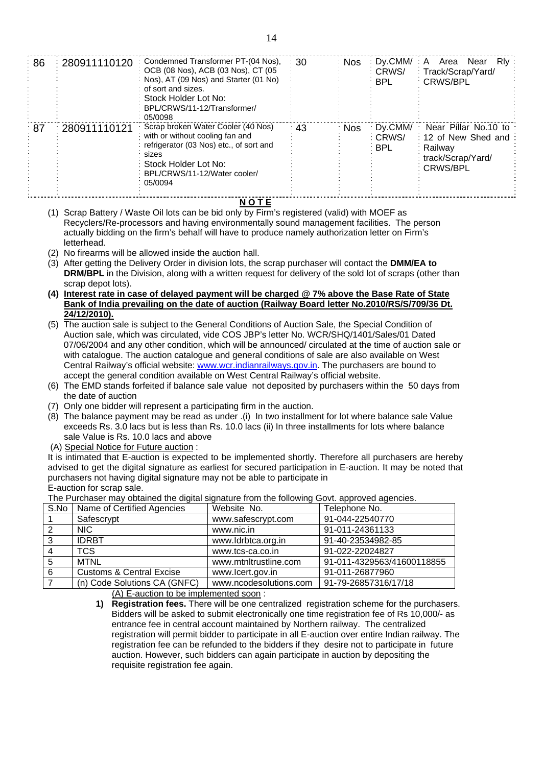| ି 86 | 280911110120 | Condemned Transformer PT-(04 Nos).<br>OCB (08 Nos), ACB (03 Nos), CT (05<br>Nos), AT (09 Nos) and Starter (01 No)<br>of sort and sizes.<br>Stock Holder Lot No:<br>BPL/CRWS/11-12/Transformer/<br>05/0098 | 30 | <b>Nos</b> | Dy.CMM/<br>CRWS/<br><b>BPL</b>   | Rly<br>Area<br>Near<br>A<br>: Track/Scrap/Yard/<br><b>CRWS/BPL</b>                         |
|------|--------------|-----------------------------------------------------------------------------------------------------------------------------------------------------------------------------------------------------------|----|------------|----------------------------------|--------------------------------------------------------------------------------------------|
| ः 87 | 280911110121 | Scrap broken Water Cooler (40 Nos)<br>with or without cooling fan and<br>refrigerator (03 Nos) etc., of sort and<br>sizes<br>Stock Holder Lot No:<br>BPL/CRWS/11-12/Water cooler/<br>05/0094              | 43 | ∶ Nos      | Dv.CMM/<br>: CRWS/<br><b>BPL</b> | Near Pillar No.10 to<br>: 12 of New Shed and<br>Railway<br>track/Scrap/Yard/<br>: CRWS/BPL |

**N O T E**

- (1) Scrap Battery / Waste Oil lots can be bid only by Firm's registered (valid) with MOEF as Recyclers/Re-processors and having environmentally sound management facilities. The person actually bidding on the firm's behalf will have to produce namely authorization letter on Firm's letterhead.
- (2) No firearms will be allowed inside the auction hall.
- (3) After getting the Delivery Order in division lots, the scrap purchaser will contact the **DMM/EA to DRM/BPL** in the Division, along with a written request for delivery of the sold lot of scraps (other than scrap depot lots).
- **(4) Interest rate in case of delayed payment will be charged @ 7% above the Base Rate of State Bank of India prevailing on the date of auction (Railway Board letter No.2010/RS/S/709/36 Dt. 24/12/2010).**
- (5) The auction sale is subject to the General Conditions of Auction Sale, the Special Condition of Auction sale, which was circulated, vide COS JBP's letter No. WCR/SHQ/1401/Sales/01 Dated 07/06/2004 and any other condition, which will be announced/ circulated at the time of auction sale or with catalogue. The auction catalogue and general conditions of sale are also available on West Central Railway's official website: [www.wcr.indianrailways.gov.in.](http://www.wcr.indianrailways.gov.in/) The purchasers are bound to accept the general condition available on West Central Railway's official website.
- (6) The EMD stands forfeited if balance sale value not deposited by purchasers within the 50 days from the date of auction
- (7) Only one bidder will represent a participating firm in the auction.
- (8) The balance payment may be read as under .(i) In two installment for lot where balance sale Value exceeds Rs. 3.0 lacs but is less than Rs. 10.0 lacs (ii) In three installments for lots where balance sale Value is Rs. 10.0 lacs and above
- (A) Special Notice for Future auction :

It is intimated that E-auction is expected to be implemented shortly. Therefore all purchasers are hereby advised to get the digital signature as earliest for secured participation in E-auction. It may be noted that purchasers not having digital signature may not be able to participate in E-auction for scrap sale.

The Purchaser may obtained the digital signature from the following Govt. approved agencies.

| S.No | Name of Certified Agencies          | Website No.            | Telephone No.              |
|------|-------------------------------------|------------------------|----------------------------|
|      | Safescrypt                          | www.safescrypt.com     | 91-044-22540770            |
|      | NIC.                                | www.nic.in             | 91-011-24361133            |
| 3    | <b>IDRBT</b>                        | www.ldrbtca.org.in     | 91-40-23534982-85          |
|      | <b>TCS</b>                          | www.tcs-ca.co.in       | 91-022-22024827            |
| 5    | <b>MTNL</b>                         | www.mtnltrustline.com  | 91-011-4329563/41600118855 |
| 6    | <b>Customs &amp; Central Excise</b> | www.lcert.gov.in       | 91-011-26877960            |
|      | (n) Code Solutions CA (GNFC)        | www.ncodesolutions.com | 91-79-26857316/17/18       |

(A) E-auction to be implemented soon :

**1) Registration fees.** There will be one centralized registration scheme for the purchasers. Bidders will be asked to submit electronically one time registration fee of Rs 10,000/- as entrance fee in central account maintained by Northern railway. The centralized registration will permit bidder to participate in all E-auction over entire Indian railway. The registration fee can be refunded to the bidders if they desire not to participate in future auction. However, such bidders can again participate in auction by depositing the requisite registration fee again.